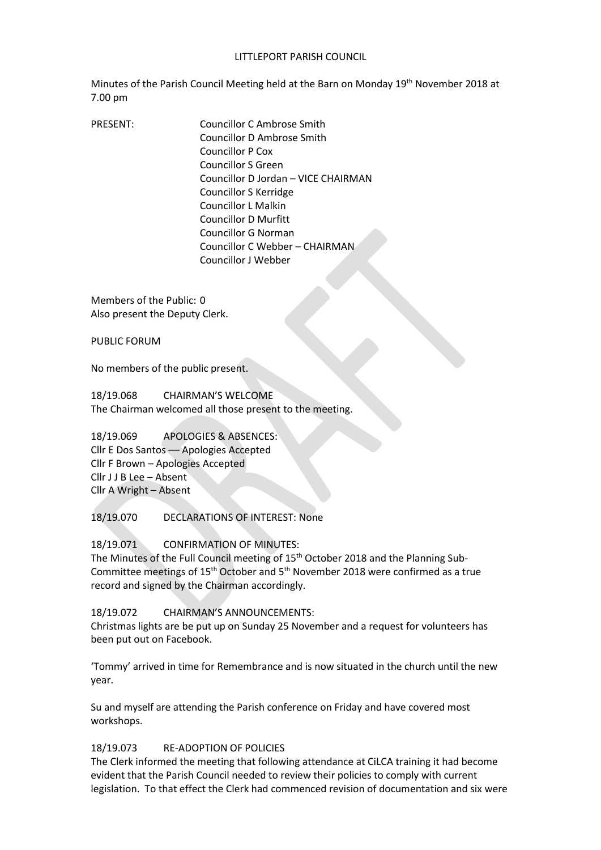### LITTLEPORT PARISH COUNCIL

Minutes of the Parish Council Meeting held at the Barn on Monday 19<sup>th</sup> November 2018 at 7.00 pm

PRESENT: Councillor C Ambrose Smith Councillor D Ambrose Smith Councillor P Cox Councillor S Green Councillor D Jordan – VICE CHAIRMAN Councillor S Kerridge Councillor L Malkin Councillor D Murfitt Councillor G Norman Councillor C Webber – CHAIRMAN Councillor J Webber

Members of the Public: 0 Also present the Deputy Clerk.

PUBLIC FORUM

No members of the public present.

18/19.068 CHAIRMAN'S WELCOME The Chairman welcomed all those present to the meeting.

18/19.069 APOLOGIES & ABSENCES: Cllr E Dos Santos –– Apologies Accepted Cllr F Brown – Apologies Accepted Cllr J J B Lee – Absent Cllr A Wright – Absent

18/19.070 DECLARATIONS OF INTEREST: None

18/19.071 CONFIRMATION OF MINUTES:

The Minutes of the Full Council meeting of 15<sup>th</sup> October 2018 and the Planning Sub-Committee meetings of  $15<sup>th</sup>$  October and  $5<sup>th</sup>$  November 2018 were confirmed as a true record and signed by the Chairman accordingly.

18/19.072 CHAIRMAN'S ANNOUNCEMENTS:

Christmas lights are be put up on Sunday 25 November and a request for volunteers has been put out on Facebook.

'Tommy' arrived in time for Remembrance and is now situated in the church until the new year.

Su and myself are attending the Parish conference on Friday and have covered most workshops.

## 18/19.073 RE-ADOPTION OF POLICIES

The Clerk informed the meeting that following attendance at CiLCA training it had become evident that the Parish Council needed to review their policies to comply with current legislation. To that effect the Clerk had commenced revision of documentation and six were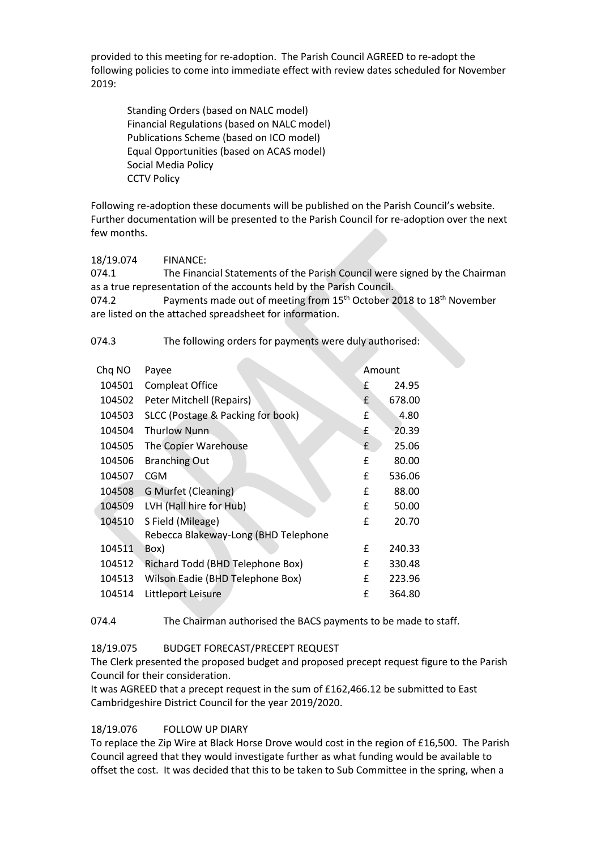provided to this meeting for re-adoption. The Parish Council AGREED to re-adopt the following policies to come into immediate effect with review dates scheduled for November 2019:

Standing Orders (based on NALC model) Financial Regulations (based on NALC model) Publications Scheme (based on ICO model) Equal Opportunities (based on ACAS model) Social Media Policy CCTV Policy

Following re-adoption these documents will be published on the Parish Council's website. Further documentation will be presented to the Parish Council for re-adoption over the next few months.

18/19.074 FINANCE:

074.1 The Financial Statements of the Parish Council were signed by the Chairman as a true representation of the accounts held by the Parish Council.

074.2 **Payments made out of meeting from 15<sup>th</sup> October 2018 to 18<sup>th</sup> November** are listed on the attached spreadsheet for information.

074.3 The following orders for payments were duly authorised:

| Chq NO | Payee                                |   | Amount |  |
|--------|--------------------------------------|---|--------|--|
| 104501 | <b>Compleat Office</b>               | f | 24.95  |  |
| 104502 | Peter Mitchell (Repairs)             | £ | 678.00 |  |
| 104503 | SLCC (Postage & Packing for book)    | £ | 4.80   |  |
| 104504 | <b>Thurlow Nunn</b>                  | £ | 20.39  |  |
| 104505 | The Copier Warehouse                 | £ | 25.06  |  |
| 104506 | <b>Branching Out</b>                 | £ | 80.00  |  |
| 104507 | <b>CGM</b>                           | £ | 536.06 |  |
| 104508 | G Murfet (Cleaning)                  | £ | 88.00  |  |
| 104509 | LVH (Hall hire for Hub)              | £ | 50.00  |  |
| 104510 | S Field (Mileage)                    | f | 20.70  |  |
|        | Rebecca Blakeway-Long (BHD Telephone |   |        |  |
| 104511 | Box)                                 | £ | 240.33 |  |
| 104512 | Richard Todd (BHD Telephone Box)     | £ | 330.48 |  |
| 104513 | Wilson Eadie (BHD Telephone Box)     | £ | 223.96 |  |
| 104514 | Littleport Leisure                   | £ | 364.80 |  |
|        |                                      |   |        |  |

074.4 The Chairman authorised the BACS payments to be made to staff.

## 18/19.075 BUDGET FORECAST/PRECEPT REQUEST

The Clerk presented the proposed budget and proposed precept request figure to the Parish Council for their consideration.

It was AGREED that a precept request in the sum of £162,466.12 be submitted to East Cambridgeshire District Council for the year 2019/2020.

## 18/19.076 FOLLOW UP DIARY

To replace the Zip Wire at Black Horse Drove would cost in the region of £16,500. The Parish Council agreed that they would investigate further as what funding would be available to offset the cost. It was decided that this to be taken to Sub Committee in the spring, when a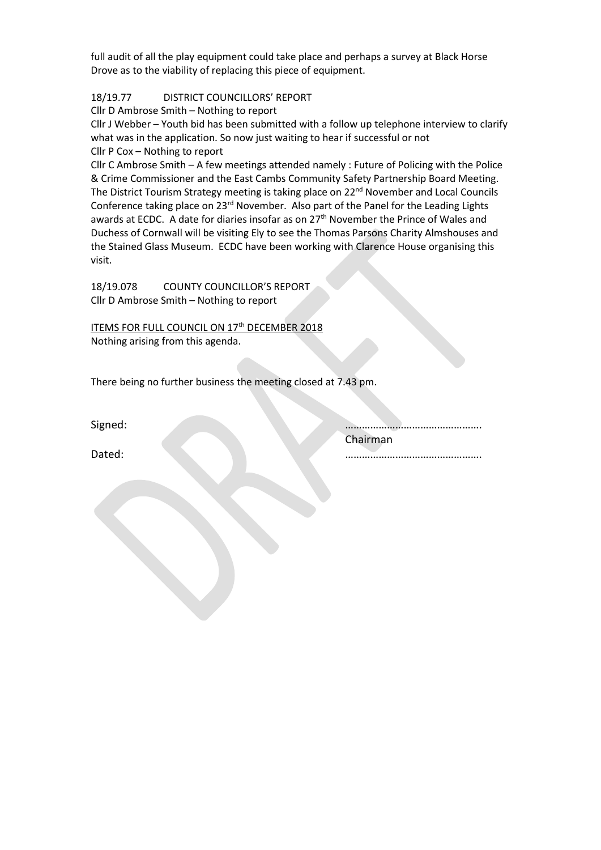full audit of all the play equipment could take place and perhaps a survey at Black Horse Drove as to the viability of replacing this piece of equipment.

# 18/19.77 DISTRICT COUNCILLORS' REPORT

Cllr D Ambrose Smith – Nothing to report

Cllr J Webber – Youth bid has been submitted with a follow up telephone interview to clarify what was in the application. So now just waiting to hear if successful or not Cllr P Cox – Nothing to report

Cllr C Ambrose Smith – A few meetings attended namely : Future of Policing with the Police & Crime Commissioner and the East Cambs Community Safety Partnership Board Meeting. The District Tourism Strategy meeting is taking place on 22<sup>nd</sup> November and Local Councils Conference taking place on 23rd November. Also part of the Panel for the Leading Lights awards at ECDC. A date for diaries insofar as on 27<sup>th</sup> November the Prince of Wales and Duchess of Cornwall will be visiting Ely to see the Thomas Parsons Charity Almshouses and the Stained Glass Museum. ECDC have been working with Clarence House organising this visit.

18/19.078 COUNTY COUNCILLOR'S REPORT Cllr D Ambrose Smith – Nothing to report

ITEMS FOR FULL COUNCIL ON 17<sup>th</sup> DECEMBER 2018 Nothing arising from this agenda.

There being no further business the meeting closed at 7.43 pm.

Signed: …………………………………………. Chairman

Dated: ………………………………………….